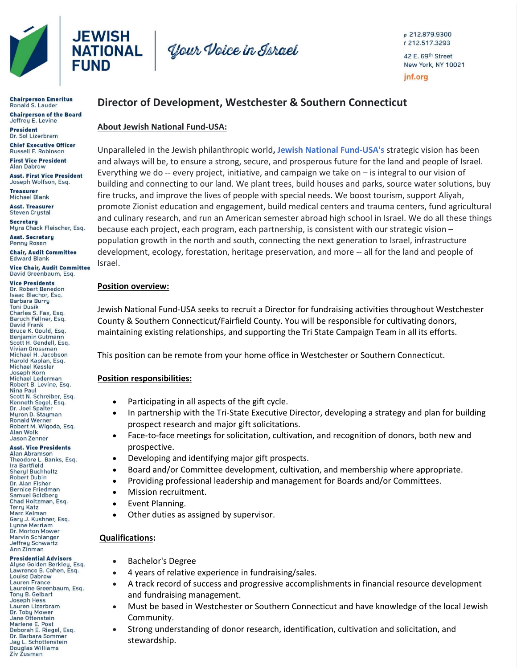

**Chairperson Emeritus**<br>Ronald S. Lauder **Chairperson of the Board** Jeffrey E. Levine

**President** Dr. Sol Lizerbram **Chief Executive Officer** Russell F. Robinson

**First Vice President** Alan Dabrow

**Asst. First Vice President** Joseph Wolfson, Esq.

**Treasurer Michael Blank** 

**Asst. Treasurer Steven Crustal** 

**Secretaru** Myra Chack Fleischer, Esq.

**Asst. Secretary Penny Rosen Chair, Audit Committee** 

Edward Blank **Vice Chair, Audit Committee** 

David Greenbaum, Esq.

**Vice Presidents** Dr. Robert Benedon Isaac Blachor, Esg. **Barbara Burry Toni Dusik** Charles S. Fax, Esq.<br>Baruch Fellner, Esq. **David Frank** Bruce K. Gould, Esg. Benjamin Gutmann Scott H. Gendell, Esq. **Vivian Grossman** Michael H. Jacobson Harold Kaplan, Esq. Michael Kessler Joseph Korn Michael Lederman Robert B. Levine, Esq. Nina Paul Scott N. Schreiber, Esq. Kenneth Segel, Esq.<br>Dr. Joel Spalter Myron D. Stayman Ronald Werner<br>Robert M. Wigoda, Esq. Alan Wolk **Jason Zenner** 

#### **Asst. Vice Presidents Alan Abramson** Theodore L. Banks, Esg.

Ira Bartfield **Sheryl Buchholtz Robert Dubin** Dr. Alan Fisher **Bernice Friedman** Samuel Goldberg Chad Holtzman, Esq. **Terry Katz Marc Kelman** Gary J. Kushner, Esq. Lynne Merriam Dr. Morton Mower Marvin Schlanger Jeffrey Schwartz Ann Zinman

#### **Presidential Advisors**

Alyse Golden Berkley, Esq. Lawrence B. Cohen, Esq. Louise Dabrow **Lauren France** Laureine Greenbaum, Esq. Tony B. Gelbart **Joseph Hess** Lauren Lizerbram Dr. Toby Mower Jane Ottenstein Marlene E. Post<br>Deborah E. Riegel, Esq. Dr. Barbara Sommer Jay L. Schottenstein Douglas Williams

Ziv Zusman



p 212.879.9300 f 212.517.3293 42 E. 69th Street New York, NY 10021 jnf.org

# **Director of Development, Westchester & Southern Connecticut**

### **About Jewish National Fund-USA:**

Unparalleled in the Jewish philanthropic world**, Jewish National Fund-USA's** strategic vision has been and always will be, to ensure a strong, secure, and prosperous future for the land and people of Israel. Everything we do  $-$ - every project, initiative, and campaign we take on  $-$  is integral to our vision of building and connecting to our land. We plant trees, build houses and parks, source water solutions, buy fire trucks, and improve the lives of people with special needs. We boost tourism, support Aliyah, promote Zionist education and engagement, build medical centers and trauma centers, fund agricultural and culinary research, and run an American semester abroad high school in Israel. We do all these things because each project, each program, each partnership, is consistent with our strategic vision – population growth in the north and south, connecting the next generation to Israel, infrastructure development, ecology, forestation, heritage preservation, and more -- all for the land and people of Israel.

### **Position overview:**

Jewish National Fund-USA seeks to recruit a Director for fundraising activities throughout Westchester County & Southern Connecticut/Fairfield County. You will be responsible for cultivating donors, maintaining existing relationships, and supporting the Tri State Campaign Team in all its efforts.

This position can be remote from your home office in Westchester or Southern Connecticut.

### **Position responsibilities:**

- Participating in all aspects of the gift cycle.
- In partnership with the Tri-State Executive Director, developing a strategy and plan for building prospect research and major gift solicitations.
- Face-to-face meetings for solicitation, cultivation, and recognition of donors, both new and prospective.
- Developing and identifying major gift prospects.
- Board and/or Committee development, cultivation, and membership where appropriate.
- Providing professional leadership and management for Boards and/or Committees.
- Mission recruitment.
- Event Planning.
- Other duties as assigned by supervisor.

## **Qualifications:**

- Bachelor's Degree
- 4 years of relative experience in fundraising/sales.
- A track record of success and progressive accomplishments in financial resource development and fundraising management.
- Must be based in Westchester or Southern Connecticut and have knowledge of the local Jewish Community.
- Strong understanding of donor research, identification, cultivation and solicitation, and stewardship.